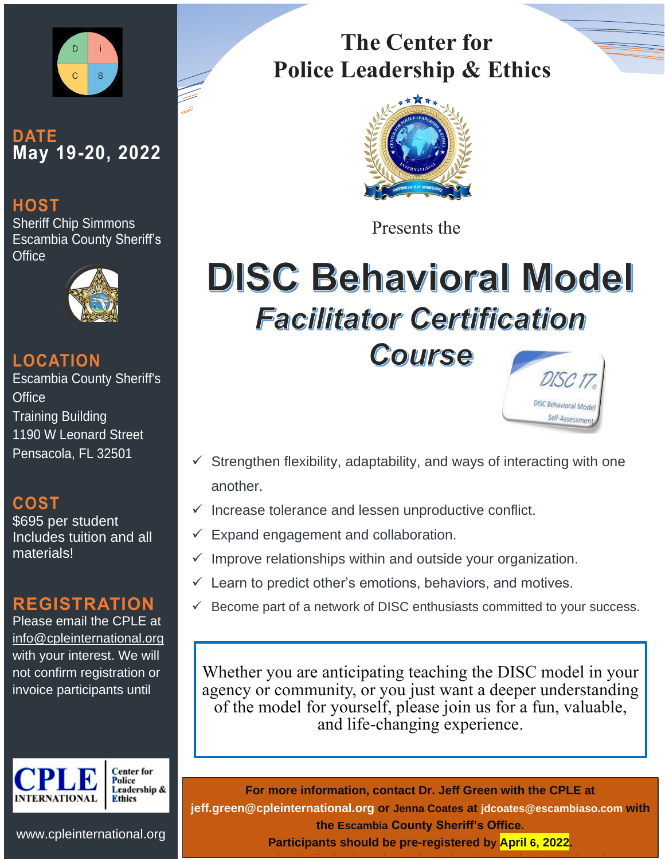

### **DATE May 19-20, 2022**

#### **HOST**

Sheriff Chip Simmons Escambia County Sheriff's **Office** 



#### **LOCATION**

Escambia County Sheriff's **Office** Training Building 1190 W Leonard Street Pensacola, FL 32501

### **COST**

\$695 per student Includes tuition and all materials!

#### **REGISTRATION**

Please email the CPLE at info@cpleinternational.org with your interest. We will not confirm registration or invoice participants until



**Center** for Police Leadership & Ethics

INFORMATION<br>Technology Solutions **The Center for Police Leadership & Ethics**



Presents the

# **DISC Behavioral Model Facilitator Certification** Course





- Strengthen flexibility, adaptability, and ways of interacting with one another.
- $\checkmark$  Increase tolerance and lessen unproductive conflict.
- $\checkmark$  Expand engagement and collaboration.
- Improve relationships within and outside your organization.
- $\checkmark$  Learn to predict other's emotions, behaviors, and motives.
- Become part of a network of DISC enthusiasts committed to your success.

Whether you are anticipating teaching the DISC model in your agency or community, or you just want a deeper understanding of the model for yourself, please join us for a fun, valuable, and life-changing experience.

**For more information, contact Dr. Jeff Green with the CPLE at jeff.green@cpleinternational.org or Jenna Coates at jdcoates@escambiaso.com with the Escambia County Sheriff's Office. Participants should be pre-registered by April 6, 2022.** 

**As seating is limited, early registration is greatly appreciated.**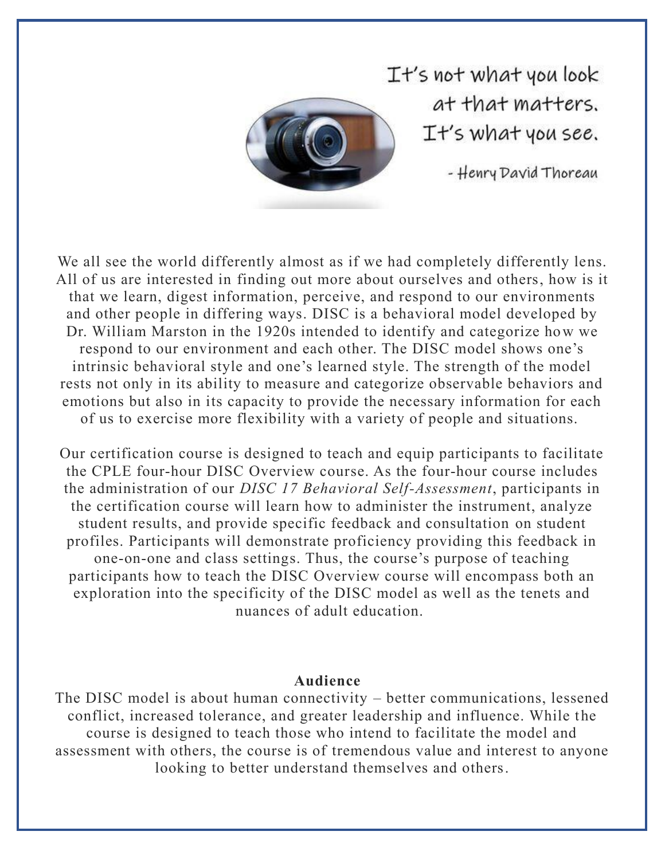

 $T$ t's not what you look at that matters. It's what you see.

- Henry David Thoreau

We all see the world differently almost as if we had completely differently lens. All of us are interested in finding out more about ourselves and others, how is it that we learn, digest information, perceive, and respond to our environments and other people in differing ways. DISC is a behavioral model developed by Dr. William Marston in the 1920s intended to identify and categorize how we respond to our environment and each other. The DISC model shows one's intrinsic behavioral style and one's learned style. The strength of the model rests not only in its ability to measure and categorize observable behaviors and emotions but also in its capacity to provide the necessary information for each of us to exercise more flexibility with a variety of people and situations.

Our certification course is designed to teach and equip participants to facilitate the CPLE four-hour DISC Overview course. As the four-hour course includes the administration of our *DISC 17 Behavioral Self-Assessment*, participants in the certification course will learn how to administer the instrument, analyze student results, and provide specific feedback and consultation on student profiles. Participants will demonstrate proficiency providing this feedback in one-on-one and class settings. Thus, the course's purpose of teaching participants how to teach the DISC Overview course will encompass both an exploration into the specificity of the DISC model as well as the tenets and nuances of adult education.

#### **Audience**

The DISC model is about human connectivity – better communications, lessened conflict, increased tolerance, and greater leadership and influence. While the course is designed to teach those who intend to facilitate the model and assessment with others, the course is of tremendous value and interest to anyone looking to better understand themselves and others.